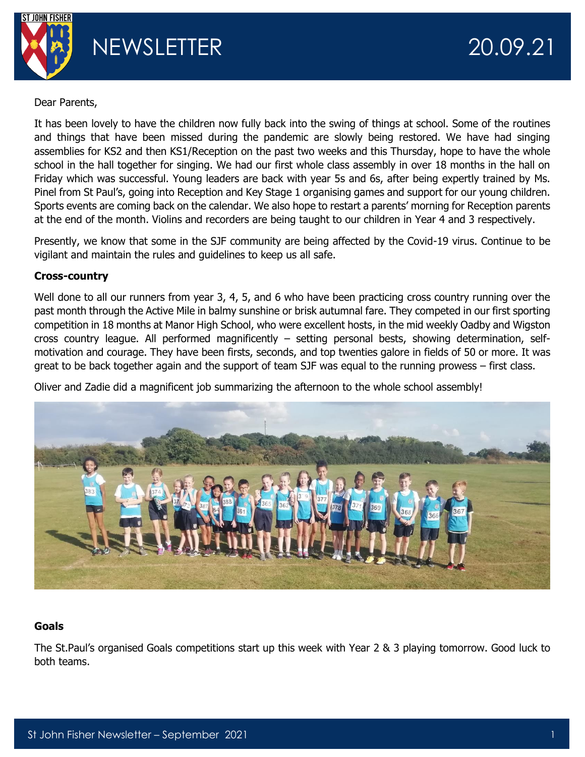

Dear Parents,

It has been lovely to have the children now fully back into the swing of things at school. Some of the routines and things that have been missed during the pandemic are slowly being restored. We have had singing assemblies for KS2 and then KS1/Reception on the past two weeks and this Thursday, hope to have the whole school in the hall together for singing. We had our first whole class assembly in over 18 months in the hall on Friday which was successful. Young leaders are back with year 5s and 6s, after being expertly trained by Ms. Pinel from St Paul's, going into Reception and Key Stage 1 organising games and support for our young children. Sports events are coming back on the calendar. We also hope to restart a parents' morning for Reception parents at the end of the month. Violins and recorders are being taught to our children in Year 4 and 3 respectively.

Presently, we know that some in the SJF community are being affected by the Covid-19 virus. Continue to be vigilant and maintain the rules and guidelines to keep us all safe.

### **Cross-country**

Well done to all our runners from year 3, 4, 5, and 6 who have been practicing cross country running over the past month through the Active Mile in balmy sunshine or brisk autumnal fare. They competed in our first sporting competition in 18 months at Manor High School, who were excellent hosts, in the mid weekly Oadby and Wigston cross country league. All performed magnificently – setting personal bests, showing determination, selfmotivation and courage. They have been firsts, seconds, and top twenties galore in fields of 50 or more. It was great to be back together again and the support of team SJF was equal to the running prowess – first class.

Oliver and Zadie did a magnificent job summarizing the afternoon to the whole school assembly!



# **Goals**

The St.Paul's organised Goals competitions start up this week with Year 2 & 3 playing tomorrow. Good luck to both teams.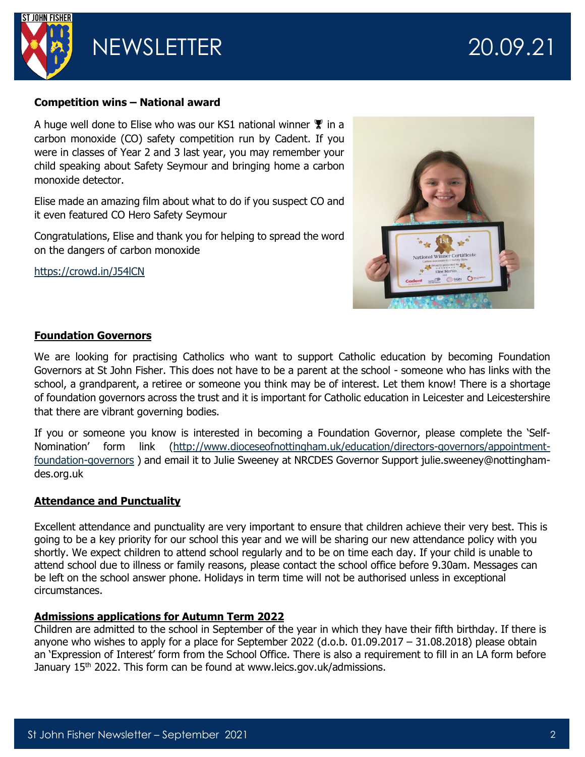

NEWSLETTER 20.09.21

#### **Competition wins – National award**

A huge well done to Elise who was our KS1 national winner  $\mathbf{\Psi}$  in a carbon monoxide (CO) safety competition run by Cadent. If you were in classes of Year 2 and 3 last year, you may remember your child speaking about Safety Seymour and bringing home a carbon monoxide detector.

Elise made an amazing film about what to do if you suspect CO and it even featured CO Hero Safety Seymour

Congratulations, Elise and thank you for helping to spread the word on the dangers of carbon monoxide

<https://crowd.in/J54lCN>



### **Foundation Governors**

We are looking for practising Catholics who want to support Catholic education by becoming Foundation Governors at St John Fisher. This does not have to be a parent at the school - someone who has links with the school, a grandparent, a retiree or someone you think may be of interest. Let them know! There is a shortage of foundation governors across the trust and it is important for Catholic education in Leicester and Leicestershire that there are vibrant governing bodies.

If you or someone you know is interested in becoming a Foundation Governor, please complete the 'Self-Nomination' form link ([http://www.dioceseofnottingham.uk/education/directors-governors/appointment](http://www.dioceseofnottingham.uk/education/directors-governors/appointment-foundation-governors)[foundation-governors](http://www.dioceseofnottingham.uk/education/directors-governors/appointment-foundation-governors) ) and email it to Julie Sweeney at NRCDES Governor Support julie.sweeney@nottinghamdes.org.uk

### **Attendance and Punctuality**

Excellent attendance and punctuality are very important to ensure that children achieve their very best. This is going to be a key priority for our school this year and we will be sharing our new attendance policy with you shortly. We expect children to attend school regularly and to be on time each day. If your child is unable to attend school due to illness or family reasons, please contact the school office before 9.30am. Messages can be left on the school answer phone. Holidays in term time will not be authorised unless in exceptional circumstances.

### **Admissions applications for Autumn Term 2022**

Children are admitted to the school in September of the year in which they have their fifth birthday. If there is anyone who wishes to apply for a place for September 2022 (d.o.b. 01.09.2017 – 31.08.2018) please obtain an 'Expression of Interest' form from the School Office. There is also a requirement to fill in an LA form before January 15<sup>th</sup> 2022. This form can be found at www.leics.gov.uk/admissions.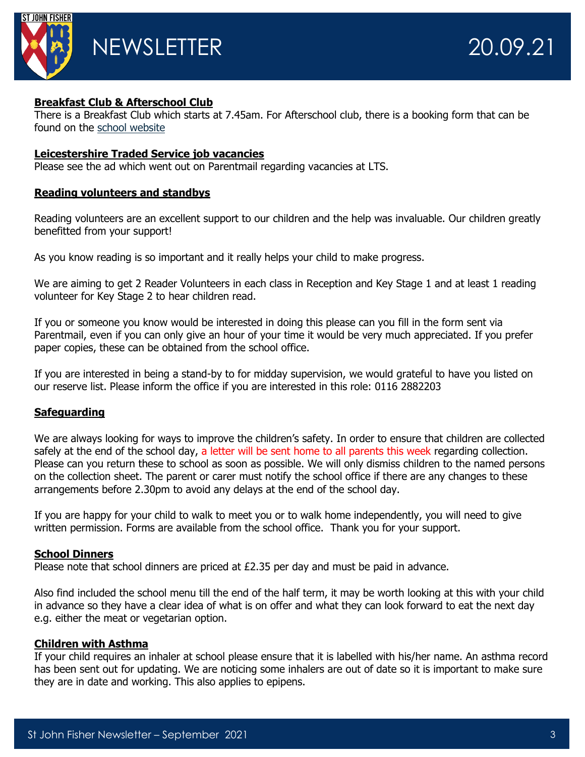

### **Breakfast Club & Afterschool Club**

There is a Breakfast Club which starts at 7.45am. For Afterschool club, there is a booking form that can be found on the [school website](https://www.stjohnfisher-wigston.leics.sch.uk/parents/after-school-clubs)

#### **Leicestershire Traded Service job vacancies**

Please see the ad which went out on Parentmail regarding vacancies at LTS.

#### **Reading volunteers and standbys**

Reading volunteers are an excellent support to our children and the help was invaluable. Our children greatly benefitted from your support!

As you know reading is so important and it really helps your child to make progress.

We are aiming to get 2 Reader Volunteers in each class in Reception and Key Stage 1 and at least 1 reading volunteer for Key Stage 2 to hear children read.

If you or someone you know would be interested in doing this please can you fill in the form sent via Parentmail, even if you can only give an hour of your time it would be very much appreciated. If you prefer paper copies, these can be obtained from the school office.

If you are interested in being a stand-by to for midday supervision, we would grateful to have you listed on our reserve list. Please inform the office if you are interested in this role: 0116 2882203

### **Safeguarding**

We are always looking for ways to improve the children's safety. In order to ensure that children are collected safely at the end of the school day, a letter will be sent home to all parents this week regarding collection. Please can you return these to school as soon as possible. We will only dismiss children to the named persons on the collection sheet. The parent or carer must notify the school office if there are any changes to these arrangements before 2.30pm to avoid any delays at the end of the school day.

If you are happy for your child to walk to meet you or to walk home independently, you will need to give written permission. Forms are available from the school office. Thank you for your support.

### **School Dinners**

Please note that school dinners are priced at £2.35 per day and must be paid in advance.

Also find included the school menu till the end of the half term, it may be worth looking at this with your child in advance so they have a clear idea of what is on offer and what they can look forward to eat the next day e.g. either the meat or vegetarian option.

#### **Children with Asthma**

If your child requires an inhaler at school please ensure that it is labelled with his/her name. An asthma record has been sent out for updating. We are noticing some inhalers are out of date so it is important to make sure they are in date and working. This also applies to epipens.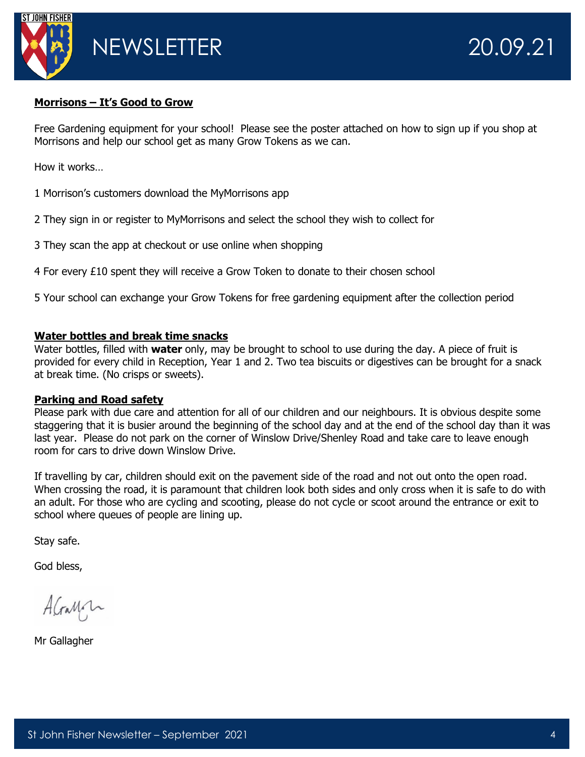

#### **Morrisons – It's Good to Grow**

Free Gardening equipment for your school! Please see the poster attached on how to sign up if you shop at Morrisons and help our school get as many Grow Tokens as we can.

How it works…

1 Morrison's customers download the MyMorrisons app

2 They sign in or register to MyMorrisons and select the school they wish to collect for

3 They scan the app at checkout or use online when shopping

4 For every £10 spent they will receive a Grow Token to donate to their chosen school

5 Your school can exchange your Grow Tokens for free gardening equipment after the collection period

#### **Water bottles and break time snacks**

Water bottles, filled with **water** only, may be brought to school to use during the day. A piece of fruit is provided for every child in Reception, Year 1 and 2. Two tea biscuits or digestives can be brought for a snack at break time. (No crisps or sweets).

#### **Parking and Road safety**

Please park with due care and attention for all of our children and our neighbours. It is obvious despite some staggering that it is busier around the beginning of the school day and at the end of the school day than it was last year. Please do not park on the corner of Winslow Drive/Shenley Road and take care to leave enough room for cars to drive down Winslow Drive.

If travelling by car, children should exit on the pavement side of the road and not out onto the open road. When crossing the road, it is paramount that children look both sides and only cross when it is safe to do with an adult. For those who are cycling and scooting, please do not cycle or scoot around the entrance or exit to school where queues of people are lining up.

Stay safe.

God bless,

AGray

Mr Gallagher